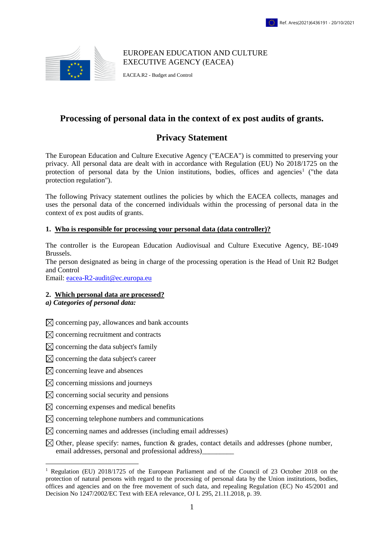

EUROPEAN EDUCATION AND CULTURE EXECUTIVE AGENCY (EACEA)

EACEA.R2 - Budget and Control

## **Processing of personal data in the context of ex post audits of grants.**

# **Privacy Statement**

The European Education and Culture Executive Agency ("EACEA") is committed to preserving your privacy. All personal data are dealt with in accordance with Regulation (EU) No 2018/1725 on the protection of personal data by the Union institutions, bodies, offices and agencies<sup>1</sup> ("the data protection regulation").

The following Privacy statement outlines the policies by which the EACEA collects, manages and uses the personal data of the concerned individuals within the processing of personal data in the context of ex post audits of grants.

## **1. Who is responsible for processing your personal data (data controller)?**

The controller is the European Education Audiovisual and Culture Executive Agency, BE-1049 Brussels.

The person designated as being in charge of the processing operation is the Head of Unit R2 Budget and Control

Email: [eacea-R2-audit@ec.europa.eu](mailto:eacea-R2-audit@ec.europa.eu)

#### **2. Which personal data are processed?**

*a) Categories of personal data:*

 $\boxtimes$  concerning pay, allowances and bank accounts

 $\boxtimes$  concerning recruitment and contracts

 $\boxtimes$  concerning the data subject's family

 $\boxtimes$  concerning the data subject's career

 $\boxtimes$  concerning leave and absences

<u>.</u>

- $\boxtimes$  concerning missions and journeys
- $\boxtimes$  concerning social security and pensions
- $\boxtimes$  concerning expenses and medical benefits
- $\boxtimes$  concerning telephone numbers and communications
- $\boxtimes$  concerning names and addresses (including email addresses)
- $\boxtimes$  Other, please specify: names, function & grades, contact details and addresses (phone number, email addresses, personal and professional address)\_\_\_\_\_\_\_\_\_

<sup>1</sup> Regulation (EU) 2018/1725 of the European Parliament and of the Council of 23 October 2018 on the protection of natural persons with regard to the processing of personal data by the Union institutions, bodies, offices and agencies and on the free movement of such data, and repealing Regulation (EC) No 45/2001 and Decision No 1247/2002/EC Text with EEA relevance, OJ L 295, 21.11.2018, p. 39*.*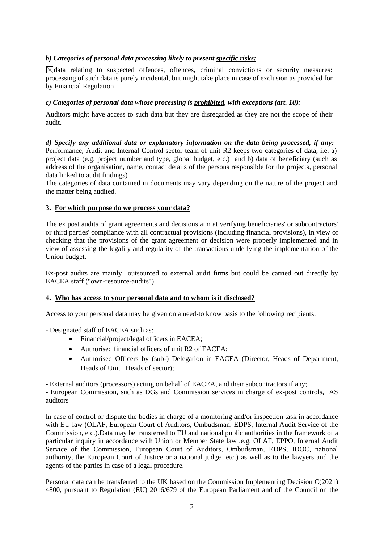## *b) Categories of personal data processing likely to present specific risks:*

 $\boxtimes$  data relating to suspected offences, offences, criminal convictions or security measures: processing of such data is purely incidental, but might take place in case of exclusion as provided for by Financial Regulation

#### *c) Categories of personal data whose processing is prohibited, with exceptions (art. 10):*

Auditors might have access to such data but they are disregarded as they are not the scope of their audit.

*d) Specify any additional data or explanatory information on the data being processed, if any:*  Performance, Audit and Internal Control sector team of unit R2 keeps two categories of data, i.e. a) project data (e.g. project number and type, global budget, etc.) and b) data of beneficiary (such as address of the organisation, name, contact details of the persons responsible for the projects, personal data linked to audit findings)

The categories of data contained in documents may vary depending on the nature of the project and the matter being audited.

#### **3. For which purpose do we process your data?**

The ex post audits of grant agreements and decisions aim at verifying beneficiaries' or subcontractors' or third parties' compliance with all contractual provisions (including financial provisions), in view of checking that the provisions of the grant agreement or decision were properly implemented and in view of assessing the legality and regularity of the transactions underlying the implementation of the Union budget.

Ex-post audits are mainly outsourced to external audit firms but could be carried out directly by EACEA staff ("own-resource-audits").

#### **4. Who has access to your personal data and to whom is it disclosed?**

Access to your personal data may be given on a need-to know basis to the following recipients:

- Designated staff of EACEA such as:

- Financial/project/legal officers in EACEA;
- Authorised financial officers of unit R2 of EACEA:
- Authorised Officers by (sub-) Delegation in EACEA (Director, Heads of Department, Heads of Unit , Heads of sector);

- External auditors (processors) acting on behalf of EACEA, and their subcontractors if any;

- European Commission, such as DGs and Commission services in charge of ex-post controls, IAS auditors

In case of control or dispute the bodies in charge of a monitoring and/or inspection task in accordance with EU law (OLAF, European Court of Auditors, Ombudsman, EDPS, Internal Audit Service of the Commission, etc.).Data may be transferred to EU and national public authorities in the framework of a particular inquiry in accordance with Union or Member State law .e.g. OLAF, EPPO, Internal Audit Service of the Commission, European Court of Auditors, Ombudsman, EDPS, IDOC, national authority, the European Court of Justice or a national judge etc.) as well as to the lawyers and the agents of the parties in case of a legal procedure.

Personal data can be transferred to the UK based on the Commission Implementing Decision C(2021) 4800, pursuant to Regulation (EU) 2016/679 of the European Parliament and of the Council on the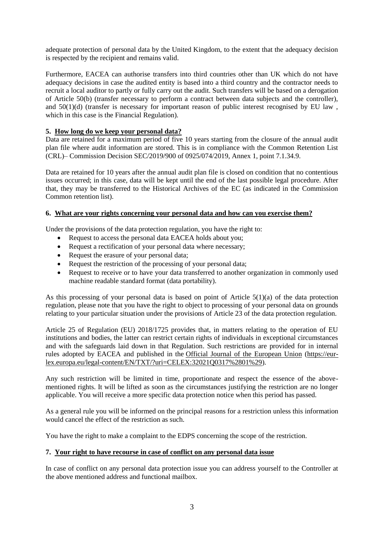adequate protection of personal data by the United Kingdom, to the extent that the adequacy decision is respected by the recipient and remains valid.

Furthermore, EACEA can authorise transfers into third countries other than UK which do not have adequacy decisions in case the audited entity is based into a third country and the contractor needs to recruit a local auditor to partly or fully carry out the audit. Such transfers will be based on a derogation of Article 50(b) (transfer necessary to perform a contract between data subjects and the controller), and  $50(1)(d)$  (transfer is necessary for important reason of public interest recognised by EU law, which in this case is the Financial Regulation).

## **5. How long do we keep your personal data?**

Data are retained for a maximum period of five 10 years starting from the closure of the annual audit plan file where audit information are stored. This is in compliance with the Common Retention List (CRL)– Commission Decision SEC/2019/900 of 0925/074/2019, Annex 1, point 7.1.34.9.

Data are retained for 10 years after the annual audit plan file is closed on condition that no contentious issues occurred; in this case, data will be kept until the end of the last possible legal procedure. After that, they may be transferred to the Historical Archives of the EC (as indicated in the Commission Common retention list).

## **6. What are your rights concerning your personal data and how can you exercise them?**

Under the provisions of the data protection regulation, you have the right to:

- Request to access the personal data EACEA holds about you;
- Request a rectification of your personal data where necessary;
- Request the erasure of your personal data;
- Request the restriction of the processing of your personal data;
- Request to receive or to have your data transferred to another organization in commonly used machine readable standard format (data portability).

As this processing of your personal data is based on point of Article 5(1)(a) of the data protection regulation, please note that you have the right to object to processing of your personal data on grounds relating to your particular situation under the provisions of Article 23 of the data protection regulation.

Article 25 of Regulation (EU) 2018/1725 provides that, in matters relating to the operation of EU institutions and bodies, the latter can restrict certain rights of individuals in exceptional circumstances and with the safeguards laid down in that Regulation. Such restrictions are provided for in internal rules adopted by EACEA and published in the [Official Journal of the European Union](https://eur-lex.europa.eu/legal-content/EN/TXT/?uri=CELEX:32021Q0317%2801%29) [\(https://eur](https://eur-lex.europa.eu/legal-content/EN/TXT/?uri=CELEX:32021Q0317%2801%29)[lex.europa.eu/legal-content/EN/TXT/?uri=CELEX:32021Q0317%2801%29\)](https://eur-lex.europa.eu/legal-content/EN/TXT/?uri=CELEX:32021Q0317%2801%29).

Any such restriction will be limited in time, proportionate and respect the essence of the abovementioned rights. It will be lifted as soon as the circumstances justifying the restriction are no longer applicable. You will receive a more specific data protection notice when this period has passed.

As a general rule you will be informed on the principal reasons for a restriction unless this information would cancel the effect of the restriction as such.

You have the right to make a complaint to the EDPS concerning the scope of the restriction.

## **7. Your right to have recourse in case of conflict on any personal data issue**

In case of conflict on any personal data protection issue you can address yourself to the Controller at the above mentioned address and functional mailbox.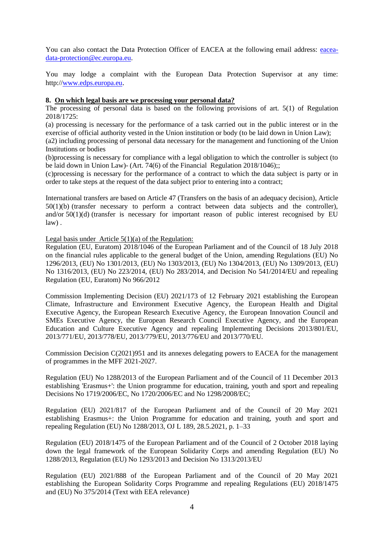You can also contact the Data Protection Officer of EACEA at the following email address: [eacea](mailto:eacea-data-protection@ec.europa.eu)[data-protection@ec.europa.eu.](mailto:eacea-data-protection@ec.europa.eu)

You may lodge a complaint with the European Data Protection Supervisor at any time: http:/[/www.edps.europa.eu](http://www.edps.europa.eu/).

#### **8. On which legal basis are we processing your personal data?**

The processing of personal data is based on the following provisions of art. 5(1) of Regulation 2018/1725:

(a) processing is necessary for the performance of a task carried out in the public interest or in the exercise of official authority vested in the Union institution or body (to be laid down in Union Law); (a2) including processing of personal data necessary for the management and functioning of the Union

Institutions or bodies

(b)processing is necessary for compliance with a legal obligation to which the controller is subject (to be laid down in Union Law)- (Art. 74(6) of the Financial Regulation 2018/1046);;

(c)processing is necessary for the performance of a contract to which the data subject is party or in order to take steps at the request of the data subject prior to entering into a contract;

International transfers are based on Article 47 (Transfers on the basis of an adequacy decision), Article 50(1)(b) (transfer necessary to perform a contract between data subjects and the controller), and/or 50(1)(d) (transfer is necessary for important reason of public interest recognised by EU law) .

Legal basis under Article  $5(1)(a)$  of the Regulation:

Regulation (EU, Euratom) 2018/1046 of the European Parliament and of the Council of 18 July 2018 on the financial rules applicable to the general budget of the Union, amending Regulations (EU) No 1296/2013, (EU) No 1301/2013, (EU) No 1303/2013, (EU) No 1304/2013, (EU) No 1309/2013, (EU) No 1316/2013, (EU) No 223/2014, (EU) No 283/2014, and Decision No 541/2014/EU and repealing Regulation (EU, Euratom) No 966/2012

Commission Implementing Decision (EU) 2021/173 of 12 February 2021 establishing the European Climate, Infrastructure and Environment Executive Agency, the European Health and Digital Executive Agency, the European Research Executive Agency, the European Innovation Council and SMEs Executive Agency, the European Research Council Executive Agency, and the European Education and Culture Executive Agency and repealing Implementing Decisions 2013/801/EU, 2013/771/EU, 2013/778/EU, 2013/779/EU, 2013/776/EU and 2013/770/EU.

Commission Decision C(2021)951 and its annexes delegating powers to EACEA for the management of programmes in the MFF 2021-2027.

Regulation (EU) No 1288/2013 of the European Parliament and of the Council of 11 December 2013 establishing 'Erasmus+': the Union programme for education, training, youth and sport and repealing Decisions No 1719/2006/EC, No 1720/2006/EC and No 1298/2008/EC;

Regulation (EU) 2021/817 of the European Parliament and of the Council of 20 May 2021 establishing Erasmus+: the Union Programme for education and training, youth and sport and repealing Regulation (EU) No 1288/2013, OJ L 189, 28.5.2021, p. 1–33

Regulation (EU) 2018/1475 of the European Parliament and of the Council of 2 October 2018 laying down the legal framework of the European Solidarity Corps and amending Regulation (EU) No 1288/2013, Regulation (EU) No 1293/2013 and Decision No 1313/2013/EU

Regulation (EU) 2021/888 of the European Parliament and of the Council of 20 May 2021 establishing the European Solidarity Corps Programme and repealing Regulations (EU) 2018/1475 and (EU) No 375/2014 (Text with EEA relevance)